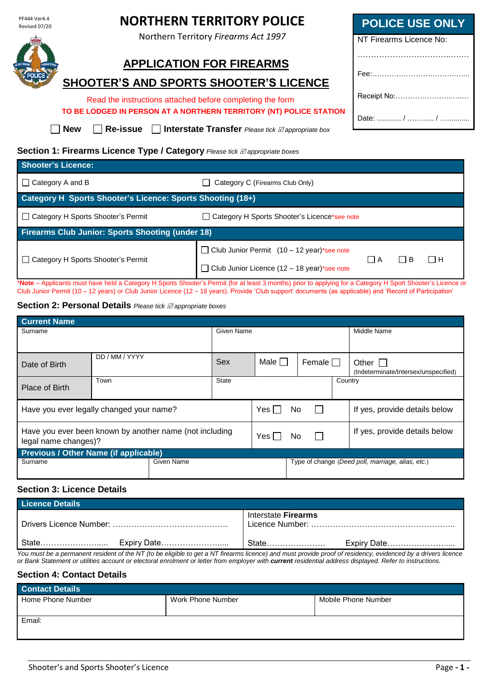| PF444 Ver4.4<br>Revised 07/20                                                                                                                                                                                                                                                                                             |                                                                                        | <b>NORTHERN TERRITORY POLICE</b>                         | <b>POLICE USE ONLY</b>     |  |
|---------------------------------------------------------------------------------------------------------------------------------------------------------------------------------------------------------------------------------------------------------------------------------------------------------------------------|----------------------------------------------------------------------------------------|----------------------------------------------------------|----------------------------|--|
|                                                                                                                                                                                                                                                                                                                           |                                                                                        | Northern Territory Firearms Act 1997                     |                            |  |
|                                                                                                                                                                                                                                                                                                                           |                                                                                        | <b>APPLICATION FOR FIREARMS</b>                          |                            |  |
|                                                                                                                                                                                                                                                                                                                           | <b>SHOOTER'S AND SPORTS SHOOTER'S LICENCE</b>                                          |                                                          |                            |  |
|                                                                                                                                                                                                                                                                                                                           | Read the instructions attached before completing the form                              |                                                          | Receipt No:                |  |
|                                                                                                                                                                                                                                                                                                                           | TO BE LODGED IN PERSON AT A NORTHERN TERRITORY (NT) POLICE STATION                     | Date: $\sqrt{2}$ /                                       |                            |  |
|                                                                                                                                                                                                                                                                                                                           | Re-issue<br><b>New</b>                                                                 | <b>Interstate Transfer</b> Please tick ⊠ appropriate box |                            |  |
|                                                                                                                                                                                                                                                                                                                           | Section 1: Firearms Licence Type / Category Please tick $\mathbb Z$ appropriate boxes  |                                                          |                            |  |
| <b>Shooter's Licence:</b>                                                                                                                                                                                                                                                                                                 |                                                                                        |                                                          |                            |  |
| $\Box$ Category A and B                                                                                                                                                                                                                                                                                                   |                                                                                        | Category C (Firearms Club Only)                          |                            |  |
| Category H Sports Shooter's Licence: Sports Shooting (18+)                                                                                                                                                                                                                                                                |                                                                                        |                                                          |                            |  |
|                                                                                                                                                                                                                                                                                                                           | □ Category H Sports Shooter's Permit<br>□ Category H Sports Shooter's Licence*see note |                                                          |                            |  |
| <b>Firearms Club Junior: Sports Shooting (under 18)</b>                                                                                                                                                                                                                                                                   |                                                                                        |                                                          |                            |  |
|                                                                                                                                                                                                                                                                                                                           |                                                                                        | □ Club Junior Permit (10 - 12 year)*see note             |                            |  |
|                                                                                                                                                                                                                                                                                                                           | □ Category H Sports Shooter's Permit                                                   | □ Club Junior Licence (12 - 18 year)*see note            | Пн<br>$\Box$ A<br>$\Box$ B |  |
| *Note - Applicants must have held a Category H Sports Shooter's Permit (for at least 3 months) prior to applying for a Category H Sport Shooter's Licence or<br>Club Junior Permit (10 – 12 years) or Club Junior Licence (12 – 18 years). Provide 'Club support' documents (as applicable) and 'Record of Participation' |                                                                                        |                                                          |                            |  |

# **Section 2: Personal Details** *Please tick appropriate boxes*

| <b>Current Name</b>                                                             |                                          |              |             |     |                |                                                   |
|---------------------------------------------------------------------------------|------------------------------------------|--------------|-------------|-----|----------------|---------------------------------------------------|
| Surname                                                                         |                                          | Given Name   |             |     |                | Middle Name                                       |
| Date of Birth                                                                   | DD / MM / YYYY                           | Sex          | Male $\Box$ |     | Female         | Other I<br>(Indeterminate/Intersex/unspecified)   |
| Place of Birth                                                                  | Town                                     | <b>State</b> |             |     |                | Country                                           |
|                                                                                 | Have you ever legally changed your name? |              | Yes I       | No. | $\mathbf{L}$   | If yes, provide details below                     |
| Have you ever been known by another name (not including<br>legal name changes)? |                                          |              | Yes II      | No. | $\overline{a}$ | If yes, provide details below                     |
| <b>Previous / Other Name (if applicable)</b>                                    |                                          |              |             |     |                |                                                   |
| <b>Given Name</b><br>Surname                                                    |                                          |              |             |     |                | Type of change (Deed poll, marriage, alias, etc.) |

# **Section 3: Licence Details**

| <b>Licence Details</b> |                            |
|------------------------|----------------------------|
|                        | Interstate <b>Firearms</b> |
|                        | l State<br>Expiry Date     |

*You must be a permanent resident of the NT (to be eligible to get a NT firearms licence) and must provide proof of residency, evidenced by a drivers licence or Bank Statement or utilities account or electoral enrolment or letter from employer with current residential address displayed. Refer to instructions.*

#### **Section 4: Contact Details**

| <b>Contact Details</b> |                   |                     |  |  |
|------------------------|-------------------|---------------------|--|--|
| Home Phone Number      | Work Phone Number | Mobile Phone Number |  |  |
|                        |                   |                     |  |  |
| Email:                 |                   |                     |  |  |
|                        |                   |                     |  |  |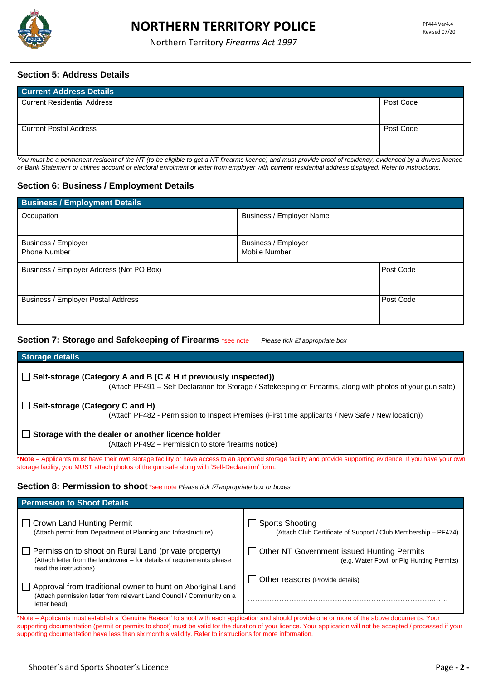

Northern Territory *Firearms Act 1997*

# **Section 5: Address Details**

| <b>Current Address Details</b>     |           |
|------------------------------------|-----------|
| <b>Current Residential Address</b> | Post Code |
|                                    |           |
| <b>Current Postal Address</b>      | Post Code |
|                                    |           |
|                                    |           |

*You must be a permanent resident of the NT (to be eligible to get a NT firearms licence) and must provide proof of residency, evidenced by a drivers licence or Bank Statement or utilities account or electoral enrolment or letter from employer with current residential address displayed. Refer to instructions.*

# **Section 6: Business / Employment Details**

| <b>Business / Employment Details</b>       |                                      |           |  |  |
|--------------------------------------------|--------------------------------------|-----------|--|--|
| Occupation                                 | Business / Employer Name             |           |  |  |
| Business / Employer<br><b>Phone Number</b> | Business / Employer<br>Mobile Number |           |  |  |
| Business / Employer Address (Not PO Box)   |                                      | Post Code |  |  |
| Business / Employer Postal Address         |                                      | Post Code |  |  |

### **Section 7: Storage and Safekeeping of Firearms** \*see note *Please tick appropriate box*

| <b>Storage details</b>                                                                                                                                                         |                                                                                                   |  |  |  |
|--------------------------------------------------------------------------------------------------------------------------------------------------------------------------------|---------------------------------------------------------------------------------------------------|--|--|--|
| Self-storage (Category A and B (C & H if previously inspected))<br>(Attach PF491 - Self Declaration for Storage / Safekeeping of Firearms, along with photos of your gun safe) |                                                                                                   |  |  |  |
| Self-storage (Category C and H)                                                                                                                                                |                                                                                                   |  |  |  |
|                                                                                                                                                                                | (Attach PF482 - Permission to Inspect Premises (First time applicants / New Safe / New location)) |  |  |  |
| Storage with the dealer or another licence holder<br>(Attach PF492 - Permission to store firearms notice)                                                                      |                                                                                                   |  |  |  |
| *Note – Applicants must have their own storage facility or have access to an approved storage facility and provide supporting evidence. If you have your own                   |                                                                                                   |  |  |  |
| storage facility, you MUST attach photos of the gun safe along with 'Self-Declaration' form.                                                                                   |                                                                                                   |  |  |  |
| Section 8: Permission to shoot *see note Please tick $\mathbb Z$ appropriate box or boxes                                                                                      |                                                                                                   |  |  |  |
|                                                                                                                                                                                |                                                                                                   |  |  |  |
| <b>Permission to Shoot Details</b>                                                                                                                                             |                                                                                                   |  |  |  |
| Crown Land Hunting Permit<br>(Attach permit from Department of Planning and Infrastructure)                                                                                    | <b>Sports Shooting</b><br>(Attach Club Certificate of Support / Club Membership - PF474)          |  |  |  |
| Permission to shoot on Rural Land (private property)<br>(Attach letter from the landowner – for details of requirements please<br>read the instructions)                       | Other NT Government issued Hunting Permits<br>(e.g. Water Fowl or Pig Hunting Permits)            |  |  |  |
| Approval from traditional owner to hunt on Aboriginal Land                                                                                                                     | Other reasons (Provide details)                                                                   |  |  |  |

\*Note – Applicants must establish a 'Genuine Reason' to shoot with each application and should provide one or more of the above documents. Your supporting documentation (permit or permits to shoot) must be valid for the duration of your licence. Your application will not be accepted / processed if your supporting documentation have less than six month's validity. Refer to instructions for more information.

…………………………………………………………………..……

letter head)